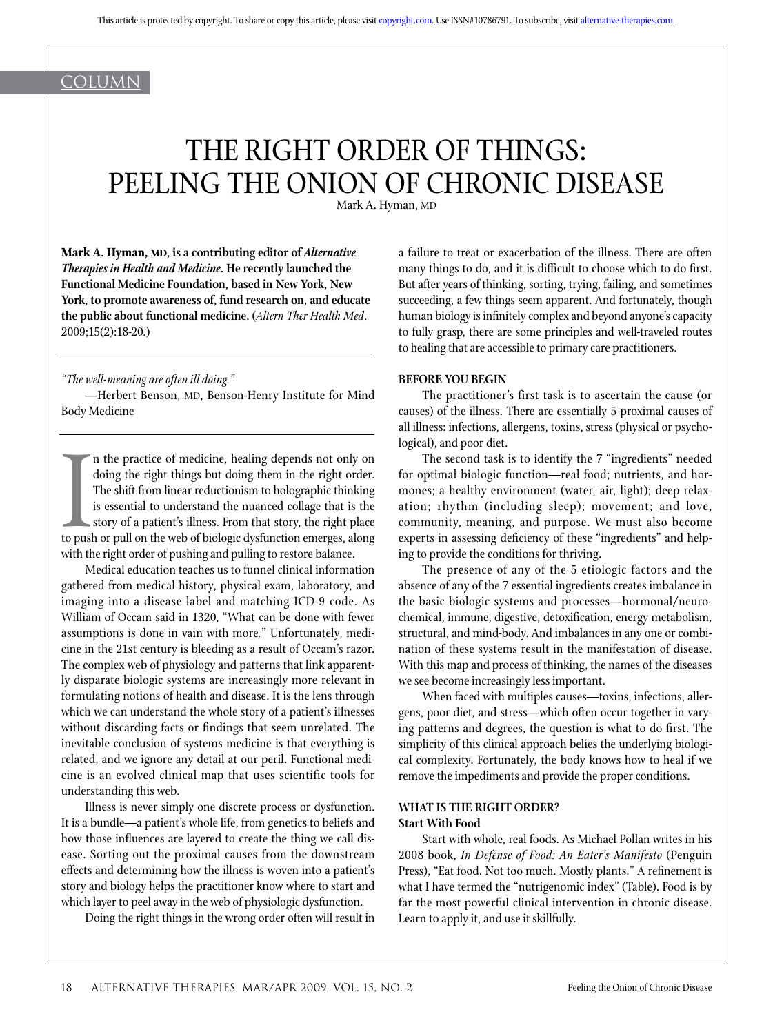## **COLUMN**

# THE RIGHT ORDER OF THINGS: PEELING THE ONION OF CHRONIC DISEASE

Mark A. Hyman, MD

**Mark A. Hyman, MD, is a contributing editor of** *Alternative Therapies in Health and Medicine***. He recently launched the Functional Medicine Foundation, based in New York, New York, to promote awareness of, fund research on, and educate the public about functional medicine.** (*Altern Ther Health Med*. 2009;15(2):18-20.)

*"The well-meaning are often ill doing."*

—Herbert Benson, MD, Benson-Henry Institute for Mind Body Medicine

In the push with the post of the contract of the contract of the contract of the contract of the contract of the contract of the contract of the contract of the contract of the contract of the contract of the contract of t n the practice of medicine, healing depends not only on doing the right things but doing them in the right order. The shift from linear reductionism to holographic thinking is essential to understand the nuanced collage that is the story of a patient's illness. From that story, the right place to push or pull on the web of biologic dysfunction emerges, along with the right order of pushing and pulling to restore balance.

Medical education teaches us to funnel clinical information gathered from medical history, physical exam, laboratory, and imaging into a disease label and matching ICD-9 code. As William of Occam said in 1320, "What can be done with fewer assumptions is done in vain with more*.*" Unfortunately, medicine in the 21st century is bleeding as a result of Occam's razor. The complex web of physiology and patterns that link apparently disparate biologic systems are increasingly more relevant in formulating notions of health and disease. It is the lens through which we can understand the whole story of a patient's illnesses without discarding facts or findings that seem unrelated. The inevitable conclusion of systems medicine is that everything is related, and we ignore any detail at our peril. Functional medicine is an evolved clinical map that uses scientific tools for understanding this web.

Illness is never simply one discrete process or dysfunction. It is a bundle—a patient's whole life, from genetics to beliefs and how those influences are layered to create the thing we call disease. Sorting out the proximal causes from the downstream effects and determining how the illness is woven into a patient's story and biology helps the practitioner know where to start and which layer to peel away in the web of physiologic dysfunction.

Doing the right things in the wrong order often will result in

a failure to treat or exacerbation of the illness. There are often many things to do, and it is difficult to choose which to do first. But after years of thinking, sorting, trying, failing, and sometimes succeeding, a few things seem apparent. And fortunately, though human biology is infinitely complex and beyond anyone's capacity to fully grasp, there are some principles and well-traveled routes to healing that are accessible to primary care practitioners.

#### **BEFORE YOU BEGIN**

The practitioner's first task is to ascertain the cause (or causes) of the illness. There are essentially 5 proximal causes of all illness: infections, allergens, toxins, stress (physical or psychological), and poor diet.

The second task is to identify the 7 "ingredients" needed for optimal biologic function—real food; nutrients, and hormones; a healthy environment (water, air, light); deep relaxation; rhythm (including sleep); movement; and love, community, meaning, and purpose. We must also become experts in assessing deficiency of these "ingredients" and helping to provide the conditions for thriving.

The presence of any of the 5 etiologic factors and the absence of any of the 7 essential ingredients creates imbalance in the basic biologic systems and processes—hormonal/neurochemical, immune, digestive, detoxification, energy metabolism, structural, and mind-body. And imbalances in any one or combination of these systems result in the manifestation of disease. With this map and process of thinking, the names of the diseases we see become increasingly less important.

When faced with multiples causes—toxins, infections, allergens, poor diet, and stress—which often occur together in varying patterns and degrees, the question is what to do first. The simplicity of this clinical approach belies the underlying biological complexity. Fortunately, the body knows how to heal if we remove the impediments and provide the proper conditions.

### **WHAT IS THE RIGHT ORDER? Start With Food**

Start with whole, real foods. As Michael Pollan writes in his 2008 book, *In Defense of Food: An Eater's Manifesto* (Penguin Press), "Eat food. Not too much. Mostly plants." A refinement is what I have termed the "nutrigenomic index" (Table). Food is by far the most powerful clinical intervention in chronic disease. Learn to apply it, and use it skillfully.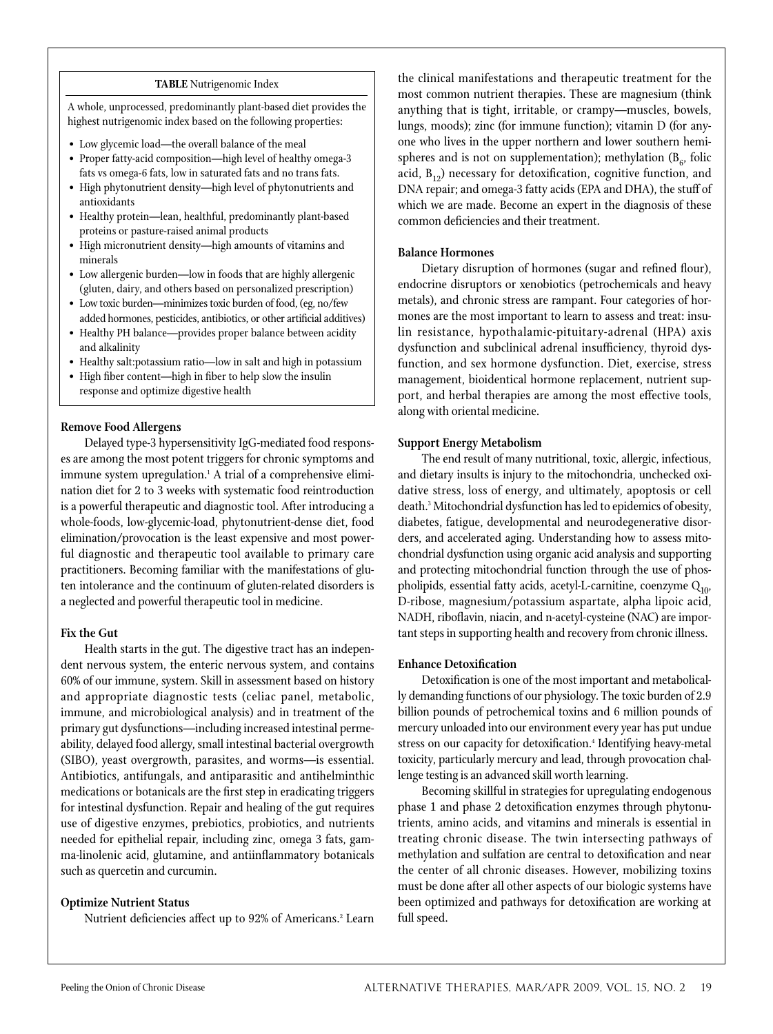#### **TABLE** Nutrigenomic Index

A whole, unprocessed, predominantly plant-based diet provides the highest nutrigenomic index based on the following properties:

- Low glycemic load—the overall balance of the meal
- Proper fatty-acid composition—high level of healthy omega-3 fats vs omega-6 fats, low in saturated fats and no trans fats.
- High phytonutrient density—high level of phytonutrients and antioxidants
- Healthy protein—lean, healthful, predominantly plant-based proteins or pasture-raised animal products
- High micronutrient density—high amounts of vitamins and minerals
- Low allergenic burden—low in foods that are highly allergenic (gluten, dairy, and others based on personalized prescription)
- Low toxic burden—minimizes toxic burden of food, (eg, no/few added hormones, pesticides, antibiotics, or other artificial additives)
- Healthy PH balance—provides proper balance between acidity and alkalinity
- Healthy salt:potassium ratio—low in salt and high in potassium
- High fiber content—high in fiber to help slow the insulin response and optimize digestive health

#### **Remove Food Allergens**

Delayed type-3 hypersensitivity IgG-mediated food responses are among the most potent triggers for chronic symptoms and immune system upregulation.1 A trial of a comprehensive elimination diet for 2 to 3 weeks with systematic food reintroduction is a powerful therapeutic and diagnostic tool. After introducing a whole-foods, low-glycemic-load, phytonutrient-dense diet, food elimination/provocation is the least expensive and most powerful diagnostic and therapeutic tool available to primary care practitioners. Becoming familiar with the manifestations of gluten intolerance and the continuum of gluten-related disorders is a neglected and powerful therapeutic tool in medicine.

#### **Fix the Gut**

Health starts in the gut. The digestive tract has an independent nervous system, the enteric nervous system, and contains 60% of our immune, system. Skill in assessment based on history and appropriate diagnostic tests (celiac panel, metabolic, immune, and microbiological analysis) and in treatment of the primary gut dysfunctions—including increased intestinal permeability, delayed food allergy, small intestinal bacterial overgrowth (SIBO), yeast overgrowth, parasites, and worms—is essential. Antibiotics, antifungals, and antiparasitic and antihelminthic medications or botanicals are the first step in eradicating triggers for intestinal dysfunction. Repair and healing of the gut requires use of digestive enzymes, prebiotics, probiotics, and nutrients needed for epithelial repair, including zinc, omega 3 fats, gamma-linolenic acid, glutamine, and antiinflammatory botanicals such as quercetin and curcumin.

#### **Optimize Nutrient Status**

Nutrient deficiencies affect up to 92% of Americans.<sup>2</sup> Learn

the clinical manifestations and therapeutic treatment for the most common nutrient therapies. These are magnesium (think anything that is tight, irritable, or crampy—muscles, bowels, lungs, moods); zinc (for immune function); vitamin D (for anyone who lives in the upper northern and lower southern hemispheres and is not on supplementation); methylation  $(B_{\kappa},$  folic acid,  $B_{12}$ ) necessary for detoxification, cognitive function, and DNA repair; and omega-3 fatty acids (EPA and DHA), the stuff of which we are made. Become an expert in the diagnosis of these common deficiencies and their treatment.

#### **Balance Hormones**

Dietary disruption of hormones (sugar and refined flour), endocrine disruptors or xenobiotics (petrochemicals and heavy metals), and chronic stress are rampant. Four categories of hormones are the most important to learn to assess and treat: insulin resistance, hypothalamic-pituitary-adrenal (HPA) axis dysfunction and subclinical adrenal insufficiency, thyroid dysfunction, and sex hormone dysfunction. Diet, exercise, stress management, bioidentical hormone replacement, nutrient support, and herbal therapies are among the most effective tools, along with oriental medicine.

#### **Support Energy Metabolism**

The end result of many nutritional, toxic, allergic, infectious, and dietary insults is injury to the mitochondria, unchecked oxidative stress, loss of energy, and ultimately, apoptosis or cell death.3 Mitochondrial dysfunction has led to epidemics of obesity, diabetes, fatigue, developmental and neurodegenerative disorders, and accelerated aging. Understanding how to assess mitochondrial dysfunction using organic acid analysis and supporting and protecting mitochondrial function through the use of phospholipids, essential fatty acids, acetyl-L-carnitine, coenzyme  $Q_{10}$ , D-ribose, magnesium/potassium aspartate, alpha lipoic acid, NADH, riboflavin, niacin, and n-acetyl-cysteine (NAC) are important steps in supporting health and recovery from chronic illness.

#### **Enhance Detoxification**

Detoxification is one of the most important and metabolically demanding functions of our physiology. The toxic burden of 2.9 billion pounds of petrochemical toxins and 6 million pounds of mercury unloaded into our environment every year has put undue stress on our capacity for detoxification.<sup>4</sup> Identifying heavy-metal toxicity, particularly mercury and lead, through provocation challenge testing is an advanced skill worth learning.

Becoming skillful in strategies for upregulating endogenous phase 1 and phase 2 detoxification enzymes through phytonutrients, amino acids, and vitamins and minerals is essential in treating chronic disease. The twin intersecting pathways of methylation and sulfation are central to detoxification and near the center of all chronic diseases. However, mobilizing toxins must be done after all other aspects of our biologic systems have been optimized and pathways for detoxification are working at full speed.